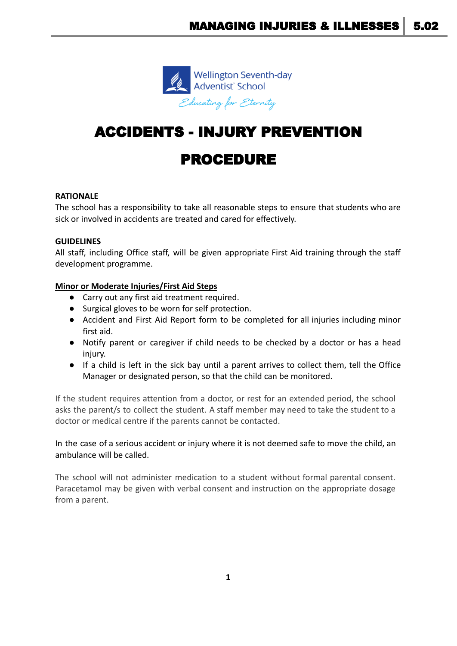

# ACCIDENTS - INJURY PREVENTION

# PROCEDURE

# **RATIONALE**

The school has a responsibility to take all reasonable steps to ensure that students who are sick or involved in accidents are treated and cared for effectively.

# **GUIDELINES**

All staff, including Office staff, will be given appropriate First Aid training through the staff development programme.

# **Minor or Moderate Injuries/First Aid Steps**

- Carry out any first aid treatment required.
- Surgical gloves to be worn for self protection.
- Accident and First Aid Report form to be completed for all injuries including minor first aid.
- Notify parent or caregiver if child needs to be checked by a doctor or has a head injury.
- If a child is left in the sick bay until a parent arrives to collect them, tell the Office Manager or designated person, so that the child can be monitored.

If the student requires attention from a doctor, or rest for an extended period, the school asks the parent/s to collect the student. A staff member may need to take the student to a doctor or medical centre if the parents cannot be contacted.

# In the case of a serious accident or injury where it is not deemed safe to move the child, an ambulance will be called.

The school will not administer medication to a student without formal parental consent. Paracetamol may be given with verbal consent and instruction on the appropriate dosage from a parent.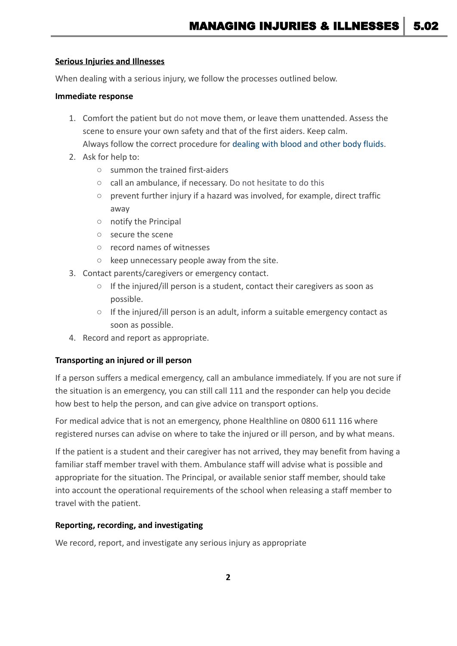#### **Serious Injuries and Illnesses**

When dealing with a serious injury, we follow the processes outlined below.

#### **Immediate response**

- 1. Comfort the patient but do not move them, or leave them unattended. Assess the scene to ensure your own safety and that of the first aiders. Keep calm. Always follow the correct procedure for dealing with [blood and other body fluids.](https://demo.schooldocs.co.nz/420.htm)
- 2. Ask for help to:
	- summon the trained first-aiders
	- call an ambulance, if necessary. Do not hesitate to do this
	- prevent further injury if a hazard was involved, for example, direct traffic away
	- notify the Principal
	- secure the scene
	- record names of witnesses
	- keep unnecessary people away from the site.
- 3. Contact parents/caregivers or emergency contact.
	- If the injured/ill person is a student, contact their caregivers as soon as possible.
	- $\circ$  If the injured/ill person is an adult, inform a suitable emergency contact as soon as possible.
- 4. Record and report as appropriate.

# **Transporting an injured or ill person**

If a person suffers a medical emergency, call an ambulance immediately. If you are not sure if the situation is an emergency, you can still call 111 and the responder can help you decide how best to help the person, and can give advice on transport options.

For medical advice that is not an emergency, phone Healthline on 0800 611 116 where registered nurses can advise on where to take the injured or ill person, and by what means.

If the patient is a student and their caregiver has not arrived, they may benefit from having a familiar staff member travel with them. Ambulance staff will advise what is possible and appropriate for the situation. The Principal, or available senior staff member, should take into account the operational requirements of the school when releasing a staff member to travel with the patient.

# **Reporting, recording, and investigating**

We record, report, and investigate any serious injury as appropriate